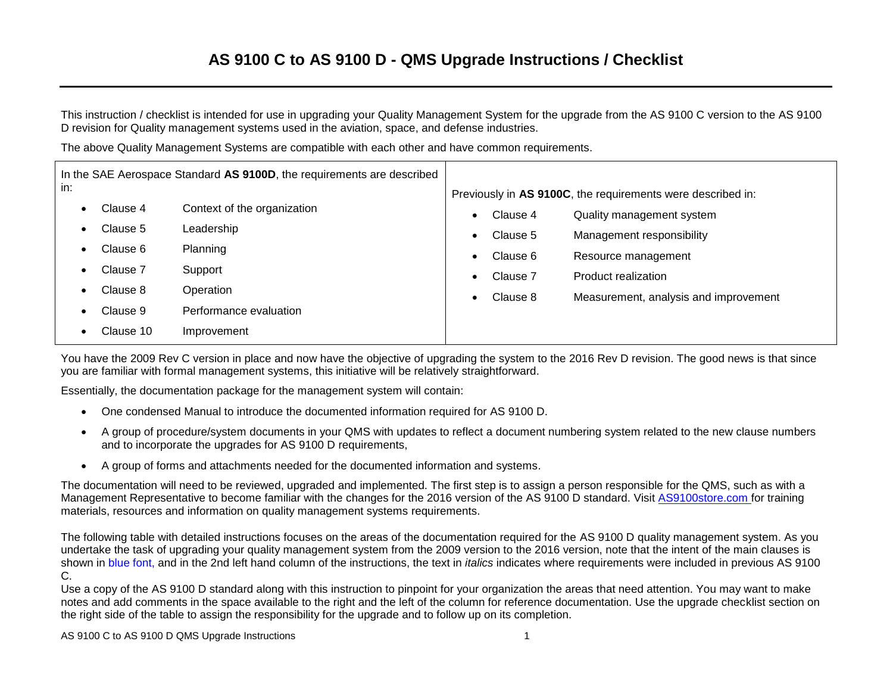### **AS 9100 C to AS 9100 D - QMS Upgrade Instructions / Checklist**

This instruction / checklist is intended for use in upgrading your Quality Management System for the upgrade from the AS 9100 C version to the AS 9100 D revision for Quality management systems used in the aviation, space, and defense industries.

The above Quality Management Systems are compatible with each other and have common requirements.

| In the SAE Aerospace Standard AS 9100D, the requirements are described |                      |                             |                                                             |          |                                       |  |
|------------------------------------------------------------------------|----------------------|-----------------------------|-------------------------------------------------------------|----------|---------------------------------------|--|
|                                                                        | in:                  |                             | Previously in AS 9100C, the requirements were described in: |          |                                       |  |
| $\bullet$                                                              | Clause 4             | Context of the organization |                                                             | Clause 4 | Quality management system             |  |
|                                                                        | Clause 5             | Leadership                  |                                                             | Clause 5 | Management responsibility             |  |
|                                                                        | Clause 6<br>Clause 7 | Planning                    |                                                             | Clause 6 | Resource management                   |  |
|                                                                        |                      | Support                     |                                                             | Clause 7 | Product realization                   |  |
|                                                                        | Clause 8             | Operation                   |                                                             | Clause 8 | Measurement, analysis and improvement |  |
|                                                                        | Clause 9             | Performance evaluation      |                                                             |          |                                       |  |
|                                                                        | Clause 10            | Improvement                 |                                                             |          |                                       |  |

You have the 2009 Rev C version in place and now have the objective of upgrading the system to the 2016 Rev D revision. The good news is that since you are familiar with formal management systems, this initiative will be relatively straightforward.

Essentially, the documentation package for the management system will contain:

- One condensed Manual to introduce the documented information required for AS 9100 D.
- A group of procedure/system documents in your QMS with updates to reflect a document numbering system related to the new clause numbers and to incorporate the upgrades for AS 9100 D requirements,
- A group of forms and attachments needed for the documented information and systems.

The documentation will need to be reviewed, upgraded and implemented. The first step is to assign a person responsible for the QMS, such as with a Management Representative to become familiar with the changes for the 2016 version of the AS 9100 D standard. Visit [AS9100store.com](http://www.as9100store.com/) for training materials, resources and information on quality management systems requirements.

The following table with detailed instructions focuses on the areas of the documentation required for the AS 9100 D quality management system. As you undertake the task of upgrading your quality management system from the 2009 version to the 2016 version, note that the intent of the main clauses is shown in blue font, and in the 2nd left hand column of the instructions, the text in *italics* indicates where requirements were included in previous AS 9100 C.

Use a copy of the AS 9100 D standard along with this instruction to pinpoint for your organization the areas that need attention. You may want to make notes and add comments in the space available to the right and the left of the column for reference documentation. Use the upgrade checklist section on the right side of the table to assign the responsibility for the upgrade and to follow up on its completion.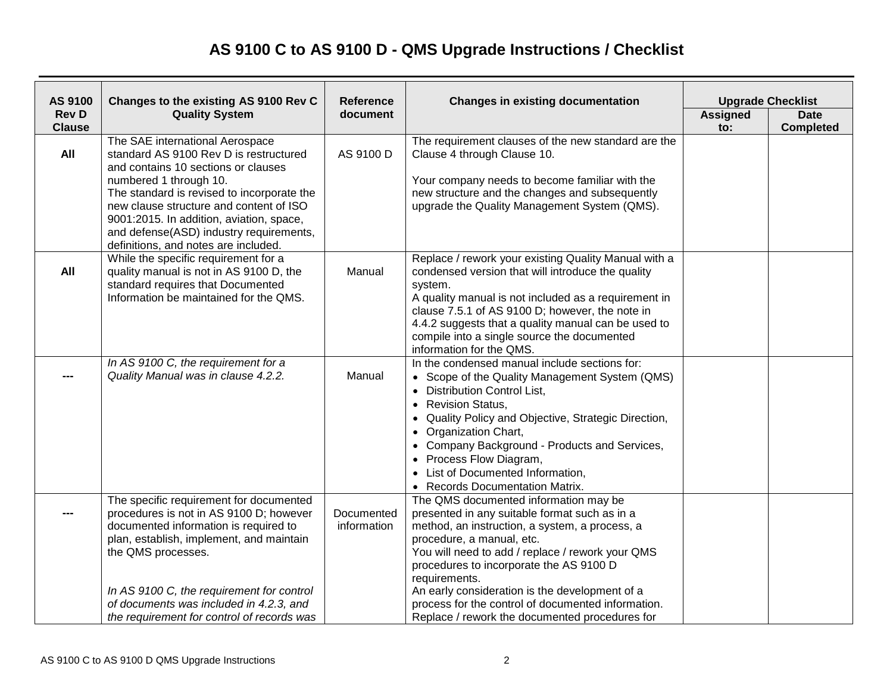# **AS 9100 C to AS 9100 D - QMS Upgrade Instructions / Checklist**

| AS 9100<br>Changes to the existing AS 9100 Rev C |                                                                                                                                                                                                                                                                                                                                                                    | <b>Reference</b>          | <b>Changes in existing documentation</b>                                                                                                                                                                                                                                                                                                                                                                                                        | <b>Upgrade Checklist</b> |                                 |
|--------------------------------------------------|--------------------------------------------------------------------------------------------------------------------------------------------------------------------------------------------------------------------------------------------------------------------------------------------------------------------------------------------------------------------|---------------------------|-------------------------------------------------------------------------------------------------------------------------------------------------------------------------------------------------------------------------------------------------------------------------------------------------------------------------------------------------------------------------------------------------------------------------------------------------|--------------------------|---------------------------------|
| <b>Rev D</b><br><b>Clause</b>                    | <b>Quality System</b><br>document                                                                                                                                                                                                                                                                                                                                  |                           |                                                                                                                                                                                                                                                                                                                                                                                                                                                 | <b>Assigned</b><br>to:   | <b>Date</b><br><b>Completed</b> |
| All                                              | The SAE international Aerospace<br>standard AS 9100 Rev D is restructured<br>and contains 10 sections or clauses<br>numbered 1 through 10.<br>The standard is revised to incorporate the<br>new clause structure and content of ISO<br>9001:2015. In addition, aviation, space,<br>and defense(ASD) industry requirements,<br>definitions, and notes are included. | AS 9100 D                 | The requirement clauses of the new standard are the<br>Clause 4 through Clause 10.<br>Your company needs to become familiar with the<br>new structure and the changes and subsequently<br>upgrade the Quality Management System (QMS).                                                                                                                                                                                                          |                          |                                 |
| All                                              | While the specific requirement for a<br>quality manual is not in AS 9100 D, the<br>standard requires that Documented<br>Information be maintained for the QMS.                                                                                                                                                                                                     | Manual                    | Replace / rework your existing Quality Manual with a<br>condensed version that will introduce the quality<br>system.<br>A quality manual is not included as a requirement in<br>clause 7.5.1 of AS 9100 D; however, the note in<br>4.4.2 suggests that a quality manual can be used to<br>compile into a single source the documented<br>information for the QMS.                                                                               |                          |                                 |
|                                                  | In AS 9100 C, the requirement for a<br>Quality Manual was in clause 4.2.2.                                                                                                                                                                                                                                                                                         | Manual                    | In the condensed manual include sections for:<br>• Scope of the Quality Management System (QMS)<br>• Distribution Control List,<br>• Revision Status,<br>• Quality Policy and Objective, Strategic Direction,<br>• Organization Chart,<br>• Company Background - Products and Services,<br>• Process Flow Diagram,<br>List of Documented Information,<br>• Records Documentation Matrix.                                                        |                          |                                 |
|                                                  | The specific requirement for documented<br>procedures is not in AS 9100 D; however<br>documented information is required to<br>plan, establish, implement, and maintain<br>the QMS processes.<br>In AS 9100 C, the requirement for control<br>of documents was included in 4.2.3, and<br>the requirement for control of records was                                | Documented<br>information | The QMS documented information may be<br>presented in any suitable format such as in a<br>method, an instruction, a system, a process, a<br>procedure, a manual, etc.<br>You will need to add / replace / rework your QMS<br>procedures to incorporate the AS 9100 D<br>requirements.<br>An early consideration is the development of a<br>process for the control of documented information.<br>Replace / rework the documented procedures for |                          |                                 |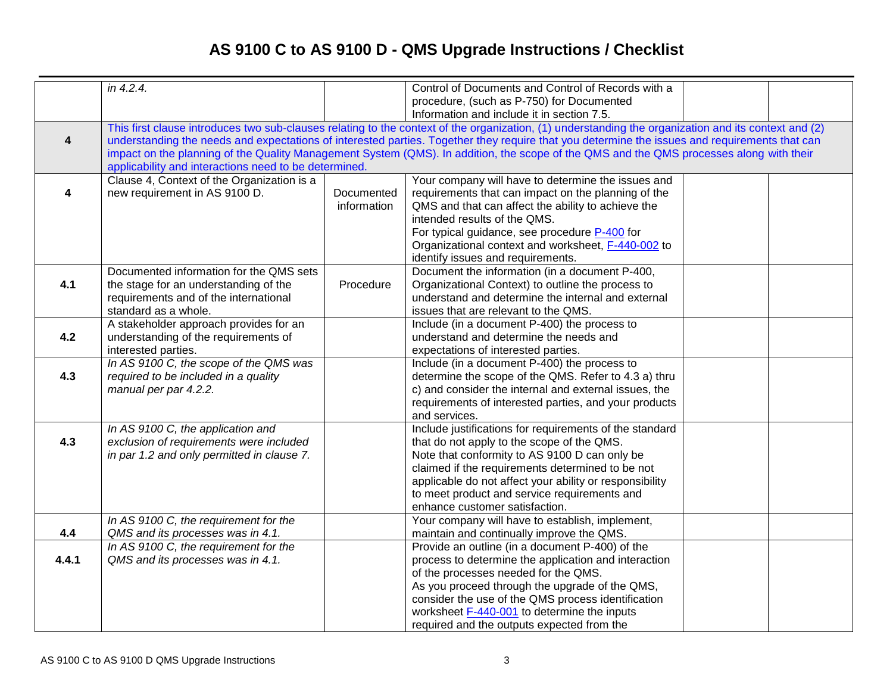# **AS 9100 C to AS 9100 D - QMS Upgrade Instructions / Checklist**

|                         | in $4.2.4$ .                                                                                                                                                                                                                                                                                                                                                                                                                                                                                              |           | Control of Documents and Control of Records with a<br>procedure, (such as P-750) for Documented<br>Information and include it in section 7.5.                                                                                                                                                                                                           |  |  |  |
|-------------------------|-----------------------------------------------------------------------------------------------------------------------------------------------------------------------------------------------------------------------------------------------------------------------------------------------------------------------------------------------------------------------------------------------------------------------------------------------------------------------------------------------------------|-----------|---------------------------------------------------------------------------------------------------------------------------------------------------------------------------------------------------------------------------------------------------------------------------------------------------------------------------------------------------------|--|--|--|
| $\overline{\mathbf{4}}$ | This first clause introduces two sub-clauses relating to the context of the organization, (1) understanding the organization and its context and (2)<br>understanding the needs and expectations of interested parties. Together they require that you determine the issues and requirements that can<br>impact on the planning of the Quality Management System (QMS). In addition, the scope of the QMS and the QMS processes along with their<br>applicability and interactions need to be determined. |           |                                                                                                                                                                                                                                                                                                                                                         |  |  |  |
| 4                       | Clause 4, Context of the Organization is a<br>new requirement in AS 9100 D.<br>Documented<br>information                                                                                                                                                                                                                                                                                                                                                                                                  |           | Your company will have to determine the issues and<br>requirements that can impact on the planning of the<br>QMS and that can affect the ability to achieve the<br>intended results of the QMS.<br>For typical guidance, see procedure P-400 for<br>Organizational context and worksheet, F-440-002 to<br>identify issues and requirements.             |  |  |  |
| 4.1                     | Documented information for the QMS sets<br>the stage for an understanding of the<br>requirements and of the international<br>standard as a whole.                                                                                                                                                                                                                                                                                                                                                         | Procedure | Document the information (in a document P-400,<br>Organizational Context) to outline the process to<br>understand and determine the internal and external<br>issues that are relevant to the QMS.                                                                                                                                                       |  |  |  |
| 4.2                     | A stakeholder approach provides for an<br>understanding of the requirements of<br>interested parties.                                                                                                                                                                                                                                                                                                                                                                                                     |           | Include (in a document P-400) the process to<br>understand and determine the needs and<br>expectations of interested parties.                                                                                                                                                                                                                           |  |  |  |
| 4.3                     | In AS 9100 C, the scope of the QMS was<br>required to be included in a quality<br>manual per par 4.2.2.                                                                                                                                                                                                                                                                                                                                                                                                   |           | Include (in a document P-400) the process to<br>determine the scope of the QMS. Refer to 4.3 a) thru<br>c) and consider the internal and external issues, the<br>requirements of interested parties, and your products<br>and services.                                                                                                                 |  |  |  |
| 4.3                     | In AS 9100 C, the application and<br>exclusion of requirements were included<br>in par 1.2 and only permitted in clause 7.                                                                                                                                                                                                                                                                                                                                                                                |           | Include justifications for requirements of the standard<br>that do not apply to the scope of the QMS.<br>Note that conformity to AS 9100 D can only be<br>claimed if the requirements determined to be not<br>applicable do not affect your ability or responsibility<br>to meet product and service requirements and<br>enhance customer satisfaction. |  |  |  |
| 4.4                     | In AS 9100 C, the requirement for the<br>QMS and its processes was in 4.1.                                                                                                                                                                                                                                                                                                                                                                                                                                |           | Your company will have to establish, implement,<br>maintain and continually improve the QMS.                                                                                                                                                                                                                                                            |  |  |  |
| 4.4.1                   | In AS 9100 C, the requirement for the<br>QMS and its processes was in 4.1.                                                                                                                                                                                                                                                                                                                                                                                                                                |           | Provide an outline (in a document P-400) of the<br>process to determine the application and interaction<br>of the processes needed for the QMS.<br>As you proceed through the upgrade of the QMS,<br>consider the use of the QMS process identification<br>worksheet F-440-001 to determine the inputs<br>required and the outputs expected from the    |  |  |  |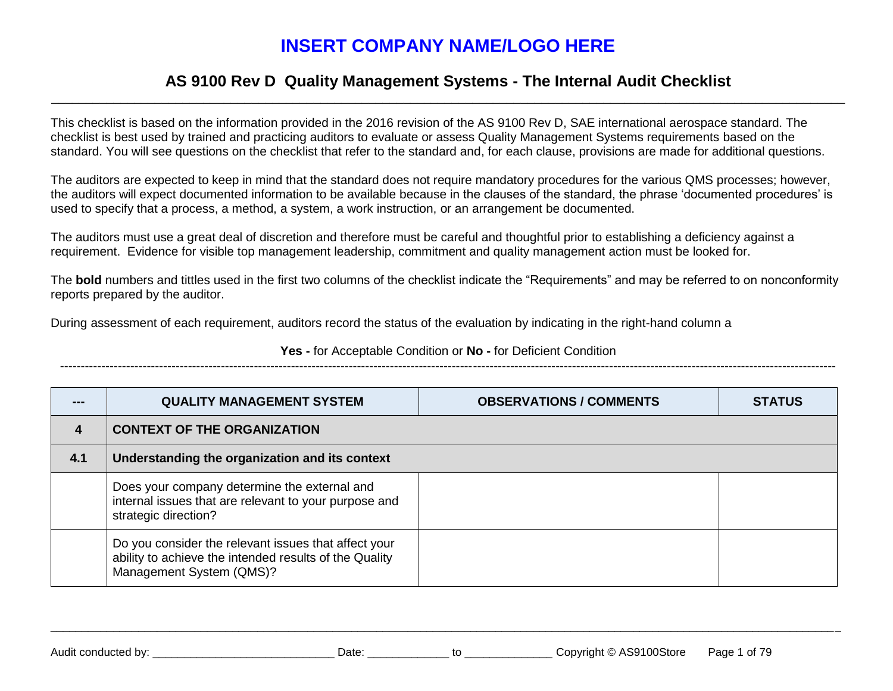## **INSERT COMPANY NAME/LOGO HERE**

### **AS 9100 Rev D Quality Management Systems - The Internal Audit Checklist** \_\_\_\_\_\_\_\_\_\_\_\_\_\_\_\_\_\_\_\_\_\_\_\_\_\_\_\_\_\_\_\_\_\_\_\_\_\_\_\_\_\_\_\_\_\_\_\_\_\_\_\_\_\_\_\_\_\_\_\_\_\_\_\_\_\_\_\_\_\_\_\_\_\_\_\_\_\_\_\_\_\_\_\_\_\_\_\_\_\_\_\_\_\_\_\_\_\_\_\_\_\_\_\_\_\_\_\_\_\_\_\_\_\_\_

This checklist is based on the information provided in the 2016 revision of the AS 9100 Rev D, SAE international aerospace standard. The checklist is best used by trained and practicing auditors to evaluate or assess Quality Management Systems requirements based on the standard. You will see questions on the checklist that refer to the standard and, for each clause, provisions are made for additional questions.

The auditors are expected to keep in mind that the standard does not require mandatory procedures for the various QMS processes; however, the auditors will expect documented information to be available because in the clauses of the standard, the phrase 'documented procedures' is used to specify that a process, a method, a system, a work instruction, or an arrangement be documented.

The auditors must use a great deal of discretion and therefore must be careful and thoughtful prior to establishing a deficiency against a requirement. Evidence for visible top management leadership, commitment and quality management action must be looked for.

The **bold** numbers and tittles used in the first two columns of the checklist indicate the "Requirements" and may be referred to on nonconformity reports prepared by the auditor.

During assessment of each requirement, auditors record the status of the evaluation by indicating in the right-hand column a

**Yes -** for Acceptable Condition or **No -** for Deficient Condition

--------------------------------------------------------------------------------------------------------------------------------------------------------------------------------------------

| --- | <b>QUALITY MANAGEMENT SYSTEM</b>                                                                                                           | <b>OBSERVATIONS / COMMENTS</b> | <b>STATUS</b> |  |  |
|-----|--------------------------------------------------------------------------------------------------------------------------------------------|--------------------------------|---------------|--|--|
| 4   | <b>CONTEXT OF THE ORGANIZATION</b>                                                                                                         |                                |               |  |  |
| 4.1 | Understanding the organization and its context                                                                                             |                                |               |  |  |
|     | Does your company determine the external and<br>internal issues that are relevant to your purpose and<br>strategic direction?              |                                |               |  |  |
|     | Do you consider the relevant issues that affect your<br>ability to achieve the intended results of the Quality<br>Management System (QMS)? |                                |               |  |  |

\_\_\_\_\_\_\_\_\_\_\_\_\_\_\_\_\_\_\_\_\_\_\_\_\_\_\_\_\_\_\_\_\_\_\_\_\_\_\_\_\_\_\_\_\_\_\_\_\_\_\_\_\_\_\_\_\_\_\_\_\_\_\_\_\_\_\_\_\_\_\_\_\_\_\_\_\_\_\_\_\_\_\_\_\_\_\_\_\_\_\_\_\_\_\_\_\_\_\_\_\_\_\_\_\_\_\_\_\_\_\_\_\_\_\_\_\_\_\_\_\_\_\_\_\_\_

Audit conducted by: <br>
Date: 
Date: **Copyright © AS9100Store** Page 1 of 79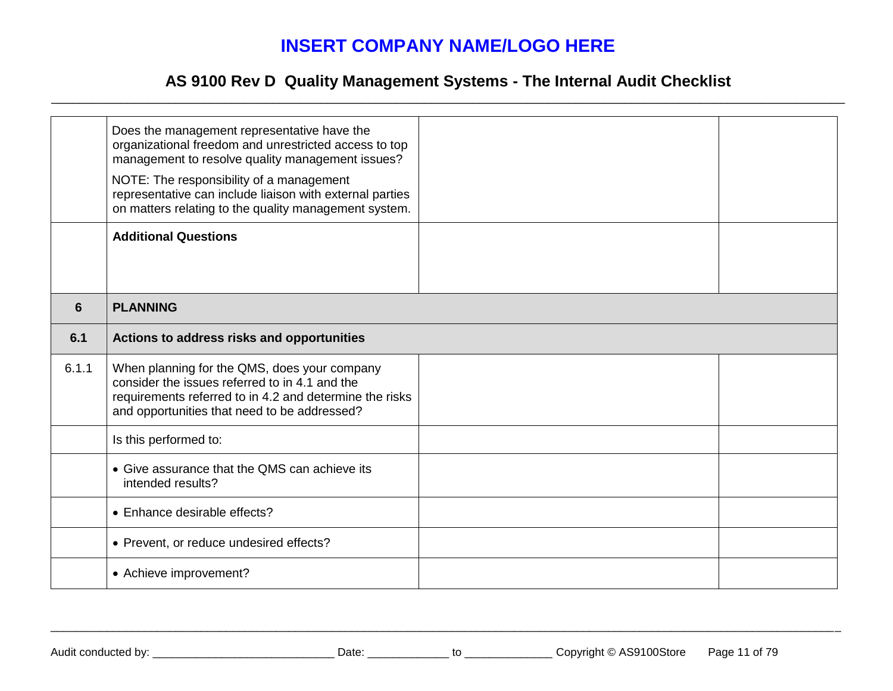## **INSERT COMPANY NAME/LOGO HERE**

### **AS 9100 Rev D Quality Management Systems - The Internal Audit Checklist** \_\_\_\_\_\_\_\_\_\_\_\_\_\_\_\_\_\_\_\_\_\_\_\_\_\_\_\_\_\_\_\_\_\_\_\_\_\_\_\_\_\_\_\_\_\_\_\_\_\_\_\_\_\_\_\_\_\_\_\_\_\_\_\_\_\_\_\_\_\_\_\_\_\_\_\_\_\_\_\_\_\_\_\_\_\_\_\_\_\_\_\_\_\_\_\_\_\_\_\_\_\_\_\_\_\_\_\_\_\_\_\_\_\_\_

|       | Does the management representative have the<br>organizational freedom and unrestricted access to top<br>management to resolve quality management issues?<br>NOTE: The responsibility of a management<br>representative can include liaison with external parties<br>on matters relating to the quality management system. |  |  |  |  |
|-------|---------------------------------------------------------------------------------------------------------------------------------------------------------------------------------------------------------------------------------------------------------------------------------------------------------------------------|--|--|--|--|
|       | <b>Additional Questions</b>                                                                                                                                                                                                                                                                                               |  |  |  |  |
| 6     | <b>PLANNING</b>                                                                                                                                                                                                                                                                                                           |  |  |  |  |
| 6.1   | Actions to address risks and opportunities                                                                                                                                                                                                                                                                                |  |  |  |  |
| 6.1.1 | When planning for the QMS, does your company<br>consider the issues referred to in 4.1 and the<br>requirements referred to in 4.2 and determine the risks<br>and opportunities that need to be addressed?                                                                                                                 |  |  |  |  |
|       | Is this performed to:                                                                                                                                                                                                                                                                                                     |  |  |  |  |
|       | • Give assurance that the QMS can achieve its<br>intended results?                                                                                                                                                                                                                                                        |  |  |  |  |
|       | • Enhance desirable effects?                                                                                                                                                                                                                                                                                              |  |  |  |  |
|       | • Prevent, or reduce undesired effects?                                                                                                                                                                                                                                                                                   |  |  |  |  |
|       | • Achieve improvement?                                                                                                                                                                                                                                                                                                    |  |  |  |  |

\_\_\_\_\_\_\_\_\_\_\_\_\_\_\_\_\_\_\_\_\_\_\_\_\_\_\_\_\_\_\_\_\_\_\_\_\_\_\_\_\_\_\_\_\_\_\_\_\_\_\_\_\_\_\_\_\_\_\_\_\_\_\_\_\_\_\_\_\_\_\_\_\_\_\_\_\_\_\_\_\_\_\_\_\_\_\_\_\_\_\_\_\_\_\_\_\_\_\_\_\_\_\_\_\_\_\_\_\_\_\_\_\_\_\_\_\_\_\_\_\_\_\_\_\_\_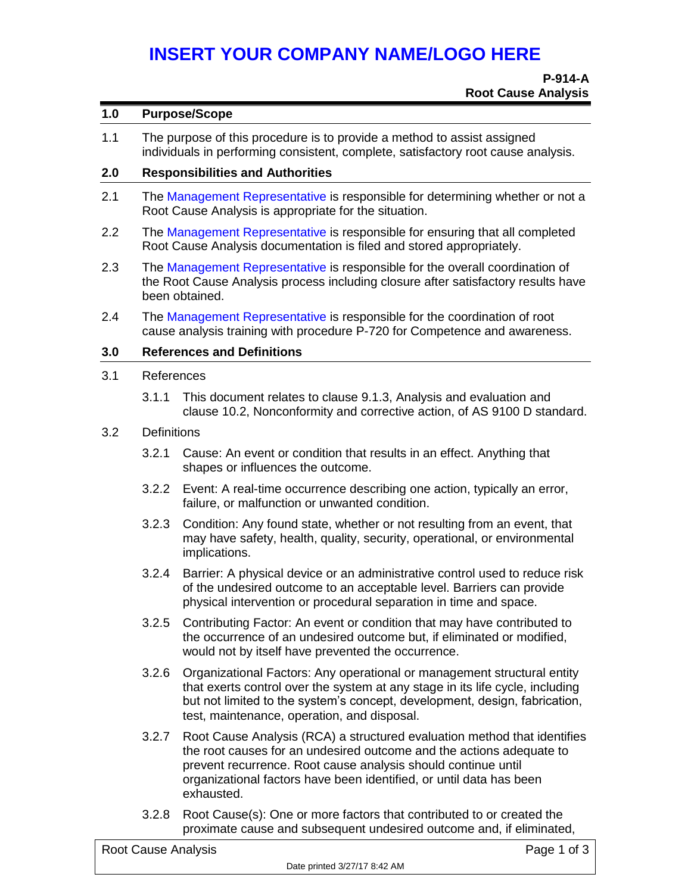# **INSERT YOUR COMPANY NAME/LOGO HERE**

#### **1.0 Purpose/Scope**

1.1 The purpose of this procedure is to provide a method to assist assigned individuals in performing consistent, complete, satisfactory root cause analysis.

#### **2.0 Responsibilities and Authorities**

- 2.1 The Management Representative is responsible for determining whether or not a Root Cause Analysis is appropriate for the situation.
- 2.2 The Management Representative is responsible for ensuring that all completed Root Cause Analysis documentation is filed and stored appropriately.
- 2.3 The Management Representative is responsible for the overall coordination of the Root Cause Analysis process including closure after satisfactory results have been obtained.
- 2.4 The Management Representative is responsible for the coordination of root cause analysis training with procedure P-720 for Competence and awareness.

### **3.0 References and Definitions**

#### 3.1 References

3.1.1 This document relates to clause 9.1.3, Analysis and evaluation and clause 10.2, Nonconformity and corrective action, of AS 9100 D standard.

#### 3.2 Definitions

- 3.2.1 Cause: An event or condition that results in an effect. Anything that shapes or influences the outcome.
- 3.2.2 Event: A real-time occurrence describing one action, typically an error, failure, or malfunction or unwanted condition.
- 3.2.3 Condition: Any found state, whether or not resulting from an event, that may have safety, health, quality, security, operational, or environmental implications.
- 3.2.4 Barrier: A physical device or an administrative control used to reduce risk of the undesired outcome to an acceptable level. Barriers can provide physical intervention or procedural separation in time and space.
- 3.2.5 Contributing Factor: An event or condition that may have contributed to the occurrence of an undesired outcome but, if eliminated or modified, would not by itself have prevented the occurrence.
- 3.2.6 Organizational Factors: Any operational or management structural entity that exerts control over the system at any stage in its life cycle, including but not limited to the system's concept, development, design, fabrication, test, maintenance, operation, and disposal.
- 3.2.7 Root Cause Analysis (RCA) a structured evaluation method that identifies the root causes for an undesired outcome and the actions adequate to prevent recurrence. Root cause analysis should continue until organizational factors have been identified, or until data has been exhausted.
- 3.2.8 Root Cause(s): One or more factors that contributed to or created the proximate cause and subsequent undesired outcome and, if eliminated,